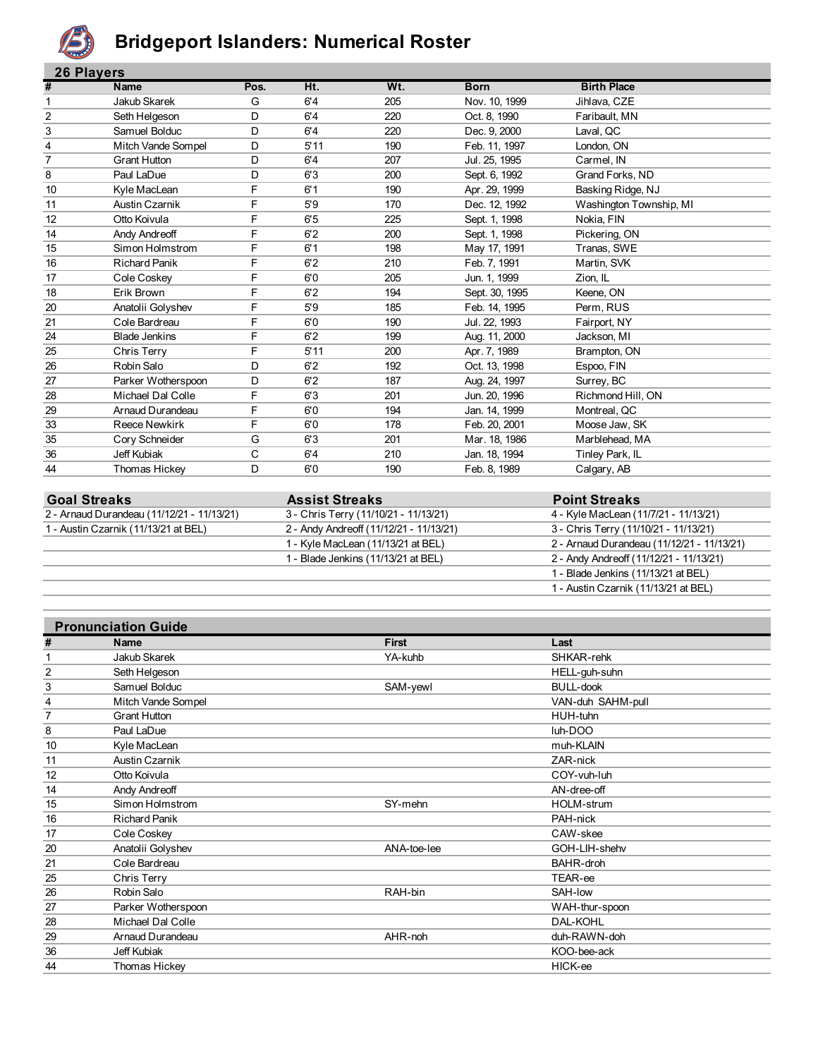

## **Bridgeport Islanders: Numerical Roster**

|                | <b>26 Players</b>    |      |      |     |                |                         |  |  |
|----------------|----------------------|------|------|-----|----------------|-------------------------|--|--|
| #              | <b>Name</b>          | Pos. | Ht.  | Wt. | <b>Born</b>    | <b>Birth Place</b>      |  |  |
| -1             | Jakub Skarek         | G    | 6'4  | 205 | Nov. 10, 1999  | Jihlava, CZE            |  |  |
| $\overline{2}$ | Seth Helgeson        | D    | 6'4  | 220 | Oct. 8, 1990   | Faribault, MN           |  |  |
| 3              | Samuel Bolduc        | D    | 6'4  | 220 | Dec. 9, 2000   | Laval, QC               |  |  |
| 4              | Mitch Vande Sompel   | D    | 5'11 | 190 | Feb. 11, 1997  | London, ON              |  |  |
| $\overline{7}$ | <b>Grant Hutton</b>  | D    | 6'4  | 207 | Jul. 25, 1995  | Carmel, IN              |  |  |
| 8              | Paul LaDue           | D    | 6'3  | 200 | Sept. 6, 1992  | Grand Forks, ND         |  |  |
| 10             | Kyle MacLean         | F    | 6'1  | 190 | Apr. 29, 1999  | Basking Ridge, NJ       |  |  |
| 11             | Austin Czarnik       | F    | 5'9  | 170 | Dec. 12, 1992  | Washington Township, MI |  |  |
| 12             | Otto Koivula         | F    | 6'5  | 225 | Sept. 1, 1998  | Nokia, FIN              |  |  |
| 14             | Andy Andreoff        | F    | 6'2  | 200 | Sept. 1, 1998  | Pickering, ON           |  |  |
| 15             | Simon Holmstrom      | F    | 6'1  | 198 | May 17, 1991   | Tranas, SWE             |  |  |
| 16             | <b>Richard Panik</b> | F    | 6'2  | 210 | Feb. 7, 1991   | Martin, SVK             |  |  |
| 17             | Cole Coskey          | F    | 6'0  | 205 | Jun. 1, 1999   | Zion, IL                |  |  |
| 18             | Erik Brown           | F    | 6'2  | 194 | Sept. 30, 1995 | Keene, ON               |  |  |
| 20             | Anatolii Golyshev    | F    | 5'9  | 185 | Feb. 14, 1995  | Perm, RUS               |  |  |
| 21             | Cole Bardreau        | F    | 6'0  | 190 | Jul. 22, 1993  | Fairport, NY            |  |  |
| 24             | <b>Blade Jenkins</b> | F    | 6'2  | 199 | Aug. 11, 2000  | Jackson, MI             |  |  |
| 25             | Chris Terry          | F    | 5'11 | 200 | Apr. 7, 1989   | Brampton, ON            |  |  |
| 26             | Robin Salo           | D    | 6'2  | 192 | Oct. 13, 1998  | Espoo, FIN              |  |  |
| 27             | Parker Wotherspoon   | D    | 6'2  | 187 | Aug. 24, 1997  | Surrey, BC              |  |  |
| 28             | Michael Dal Colle    | F    | 6'3  | 201 | Jun. 20, 1996  | Richmond Hill, ON       |  |  |
| 29             | Arnaud Durandeau     | F    | 6'0  | 194 | Jan. 14, 1999  | Montreal, QC            |  |  |
| 33             | <b>Reece Newkirk</b> | F    | 6'0  | 178 | Feb. 20, 2001  | Moose Jaw, SK           |  |  |
| 35             | Cory Schneider       | G    | 6'3  | 201 | Mar. 18, 1986  | Marblehead, MA          |  |  |
| 36             | Jeff Kubiak          | C    | 6'4  | 210 | Jan. 18, 1994  | Tinley Park, IL         |  |  |
| 44             | <b>Thomas Hickey</b> | D    | 6'0  | 190 | Feb. 8, 1989   | Calgary, AB             |  |  |
|                |                      |      |      |     |                |                         |  |  |

| <b>Goal Streaks</b>                        | <b>Assist Streaks</b>                   | <b>Point Streaks</b>                       |
|--------------------------------------------|-----------------------------------------|--------------------------------------------|
| 2 - Arnaud Durandeau (11/12/21 - 11/13/21) | 3 - Chris Terry (11/10/21 - 11/13/21)   | 4 - Kyle MacLean (11/7/21 - 11/13/21)      |
| 1 - Austin Czarnik (11/13/21 at BEL)       | 2 - Andy Andreoff (11/12/21 - 11/13/21) | 3 - Chris Terry (11/10/21 - 11/13/21)      |
|                                            | 1 - Kyle MacLean (11/13/21 at BEL)      | 2 - Arnaud Durandeau (11/12/21 - 11/13/21) |
|                                            | 1 - Blade Jenkins (11/13/21 at BEL)     | 2 - Andy Andreoff (11/12/21 - 11/13/21)    |
|                                            |                                         | 1 - Blade Jenkins (11/13/21 at BEL)        |
|                                            |                                         | 1 - Austin Czarnik (11/13/21 at BEL)       |

|                | <b>Pronunciation Guide</b> |              |                   |
|----------------|----------------------------|--------------|-------------------|
| #              | Name                       | <b>First</b> | Last              |
| 1              | Jakub Skarek               | YA-kuhb      | SHKAR-rehk        |
| $\overline{2}$ | Seth Helgeson              |              | HELL-guh-suhn     |
| 3              | Samuel Bolduc              | SAM-yewl     | <b>BULL-dook</b>  |
| 4              | Mitch Vande Sompel         |              | VAN-duh SAHM-pull |
| 7              | Grant Hutton               |              | HUH-tuhn          |
| 8              | Paul LaDue                 |              | luh-DOO           |
| 10             | Kyle MacLean               |              | muh-KLAIN         |
| 11             | Austin Czarnik             |              | ZAR-nick          |
| 12             | Otto Koivula               |              | COY-vuh-luh       |
| 14             | Andy Andreoff              |              | AN-dree-off       |
| 15             | Simon Holmstrom            | SY-mehn      | <b>HOLM-strum</b> |
| 16             | <b>Richard Panik</b>       |              | PAH-nick          |
| 17             | Cole Coskey                |              | CAW-skee          |
| 20             | Anatolii Golyshev          | ANA-toe-lee  | GOH-LIH-shehv     |
| 21             | Cole Bardreau              |              | <b>BAHR-droh</b>  |
| 25             | Chris Terry                |              | TEAR-ee           |
| 26             | Robin Salo                 | RAH-bin      | SAH-low           |
| 27             | Parker Wotherspoon         |              | WAH-thur-spoon    |
| 28             | Michael Dal Colle          |              | <b>DAL-KOHL</b>   |
| 29             | Arnaud Durandeau           | AHR-noh      | duh-RAWN-doh      |
| 36             | Jeff Kubiak                |              | KOO-bee-ack       |
| 44             | Thomas Hickey              |              | HICK-ee           |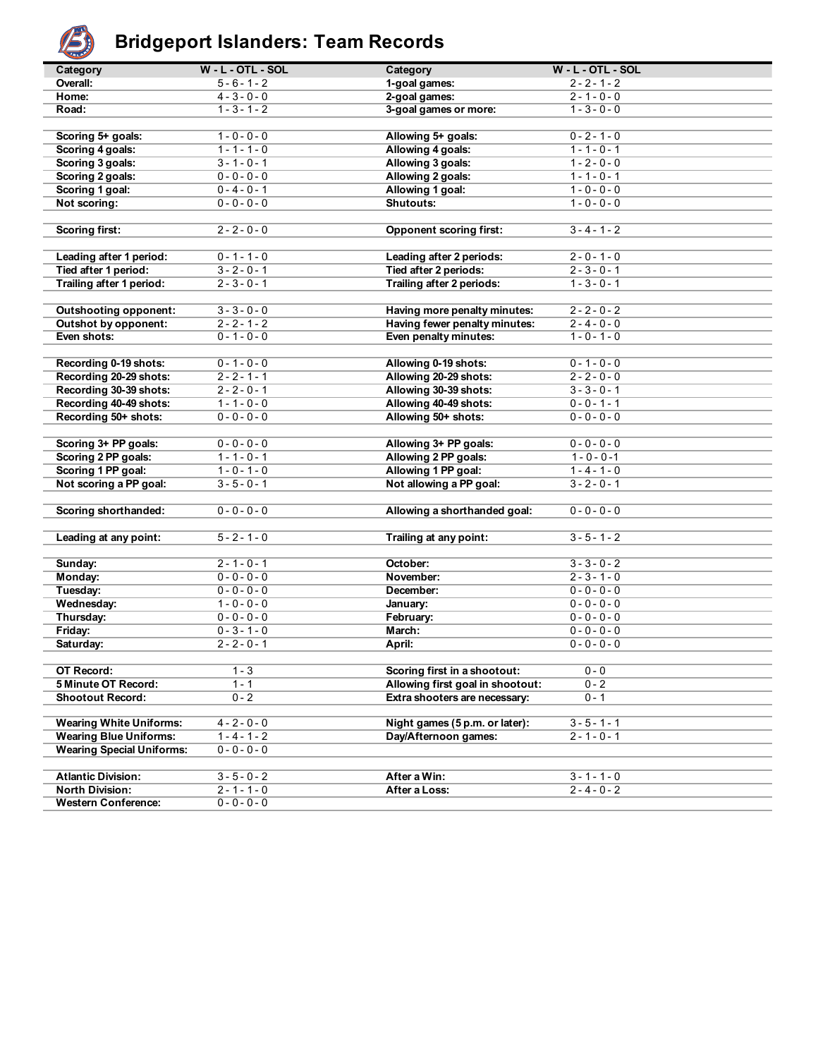

# **Bridgeport Islanders: Team Records**

| تحصيه                                          |                     |                                  |                     |  |
|------------------------------------------------|---------------------|----------------------------------|---------------------|--|
| Category                                       | $W - L - OTL - SOL$ | Category                         | $W - L - OTL - SOL$ |  |
| Overall:                                       | $5 - 6 - 1 - 2$     | 1-goal games:                    | $2 - 2 - 1 - 2$     |  |
| Home:                                          | $4 - 3 - 0 - 0$     | 2-goal games:                    | $2 - 1 - 0 - 0$     |  |
| Road:                                          | $1 - 3 - 1 - 2$     | 3-goal games or more:            | $1 - 3 - 0 - 0$     |  |
|                                                |                     |                                  |                     |  |
| Scoring 5+ goals:                              | $1 - 0 - 0 - 0$     | Allowing 5+ goals:               | $0 - 2 - 1 - 0$     |  |
| Scoring 4 goals:                               | $1 - 1 - 1 - 0$     | Allowing 4 goals:                | $1 - 1 - 0 - 1$     |  |
| Scoring 3 goals:                               | $3 - 1 - 0 - 1$     | Allowing 3 goals:                | $1 - 2 - 0 - 0$     |  |
| Scoring 2 goals:                               | $0 - 0 - 0 - 0$     | Allowing 2 goals:                | $1 - 1 - 0 - 1$     |  |
| Scoring 1 goal:                                | $0 - 4 - 0 - 1$     | Allowing 1 goal:                 | $1 - 0 - 0 - 0$     |  |
| Not scoring:                                   | $0 - 0 - 0 - 0$     | Shutouts:                        | $1 - 0 - 0 - 0$     |  |
|                                                |                     |                                  |                     |  |
| <b>Scoring first:</b>                          | $2 - 2 - 0 - 0$     | <b>Opponent scoring first:</b>   | $3 - 4 - 1 - 2$     |  |
|                                                |                     |                                  |                     |  |
| Leading after 1 period:                        | $0 - 1 - 1 - 0$     | Leading after 2 periods:         | $2 - 0 - 1 - 0$     |  |
| Tied after 1 period:                           | $3 - 2 - 0 - 1$     | Tied after 2 periods:            | $2 - 3 - 0 - 1$     |  |
| Trailing after 1 period:                       | $2 - 3 - 0 - 1$     | Trailing after 2 periods:        | $1 - 3 - 0 - 1$     |  |
|                                                |                     |                                  |                     |  |
| <b>Outshooting opponent:</b>                   | $3 - 3 - 0 - 0$     | Having more penalty minutes:     | $2 - 2 - 0 - 2$     |  |
| Outshot by opponent:                           | $2 - 2 - 1 - 2$     | Having fewer penalty minutes:    | $2 - 4 - 0 - 0$     |  |
| Even shots:                                    | $0 - 1 - 0 - 0$     | Even penalty minutes:            | $1 - 0 - 1 - 0$     |  |
|                                                |                     |                                  |                     |  |
| Recording 0-19 shots:                          | $0 - 1 - 0 - 0$     | Allowing 0-19 shots:             | $0 - 1 - 0 - 0$     |  |
| Recording 20-29 shots:                         | $2 - 2 - 1 - 1$     | Allowing 20-29 shots:            | $2 - 2 - 0 - 0$     |  |
|                                                | $2 - 2 - 0 - 1$     | Allowing 30-39 shots:            | $3 - 3 - 0 - 1$     |  |
| Recording 30-39 shots:                         | $1 - 1 - 0 - 0$     |                                  | $0 - 0 - 1 - 1$     |  |
| Recording 40-49 shots:<br>Recording 50+ shots: | $0 - 0 - 0 - 0$     | Allowing 40-49 shots:            | $0 - 0 - 0 - 0$     |  |
|                                                |                     | Allowing 50+ shots:              |                     |  |
|                                                |                     |                                  |                     |  |
| Scoring 3+ PP goals:                           | $0 - 0 - 0 - 0$     | Allowing 3+ PP goals:            | $0 - 0 - 0 - 0$     |  |
| Scoring 2 PP goals:                            | $1 - 1 - 0 - 1$     | Allowing 2 PP goals:             | $1 - 0 - 0 - 1$     |  |
| Scoring 1 PP goal:                             | $1 - 0 - 1 - 0$     | Allowing 1 PP goal:              | $1 - 4 - 1 - 0$     |  |
| Not scoring a PP goal:                         | $3 - 5 - 0 - 1$     | Not allowing a PP goal:          | $3 - 2 - 0 - 1$     |  |
|                                                |                     |                                  |                     |  |
| Scoring shorthanded:                           | $0 - 0 - 0 - 0$     | Allowing a shorthanded goal:     | $0 - 0 - 0 - 0$     |  |
|                                                |                     |                                  |                     |  |
| Leading at any point:                          | $5 - 2 - 1 - 0$     | Trailing at any point:           | $3 - 5 - 1 - 2$     |  |
|                                                |                     |                                  |                     |  |
| Sunday:                                        | $2 - 1 - 0 - 1$     | October:                         | $3 - 3 - 0 - 2$     |  |
| Monday:                                        | $0 - 0 - 0 - 0$     | November:                        | $2 - 3 - 1 - 0$     |  |
| Tuesday:                                       | $0 - 0 - 0 - 0$     | December:                        | $0 - 0 - 0 - 0$     |  |
| Wednesday:                                     | $1 - 0 - 0 - 0$     | January:                         | $0 - 0 - 0 - 0$     |  |
| Thursday:                                      | $0 - 0 - 0 - 0$     | February:                        | $0 - 0 - 0 - 0$     |  |
| Friday:                                        | $0 - 3 - 1 - 0$     | March:                           | $0 - 0 - 0 - 0$     |  |
| Saturday:                                      | $2 - 2 - 0 - 1$     | April:                           | $0 - 0 - 0 - 0$     |  |
|                                                |                     |                                  |                     |  |
| OT Record:                                     | $1 - 3$             | Scoring first in a shootout:     | $0 - 0$             |  |
| 5 Minute OT Record:                            | $1 - 1$             | Allowing first goal in shootout: | $0 - 2$             |  |
| <b>Shootout Record:</b>                        | $0 - 2$             | Extra shooters are necessary:    | $0 - 1$             |  |
|                                                |                     |                                  |                     |  |
| <b>Wearing White Uniforms:</b>                 | $4 - 2 - 0 - 0$     | Night games (5 p.m. or later):   | $3 - 5 - 1 - 1$     |  |
| <b>Wearing Blue Uniforms:</b>                  | $1 - 4 - 1 - 2$     | Day/Afternoon games:             | $2 - 1 - 0 - 1$     |  |
| <b>Wearing Special Uniforms:</b>               | $0 - 0 - 0 - 0$     |                                  |                     |  |
|                                                |                     |                                  |                     |  |
| <b>Atlantic Division:</b>                      | $3 - 5 - 0 - 2$     | After a Win:                     | $3 - 1 - 1 - 0$     |  |
| <b>North Division:</b>                         | $2 - 1 - 1 - 0$     | After a Loss:                    | $2 - 4 - 0 - 2$     |  |
| <b>Western Conference:</b>                     | $0 - 0 - 0 - 0$     |                                  |                     |  |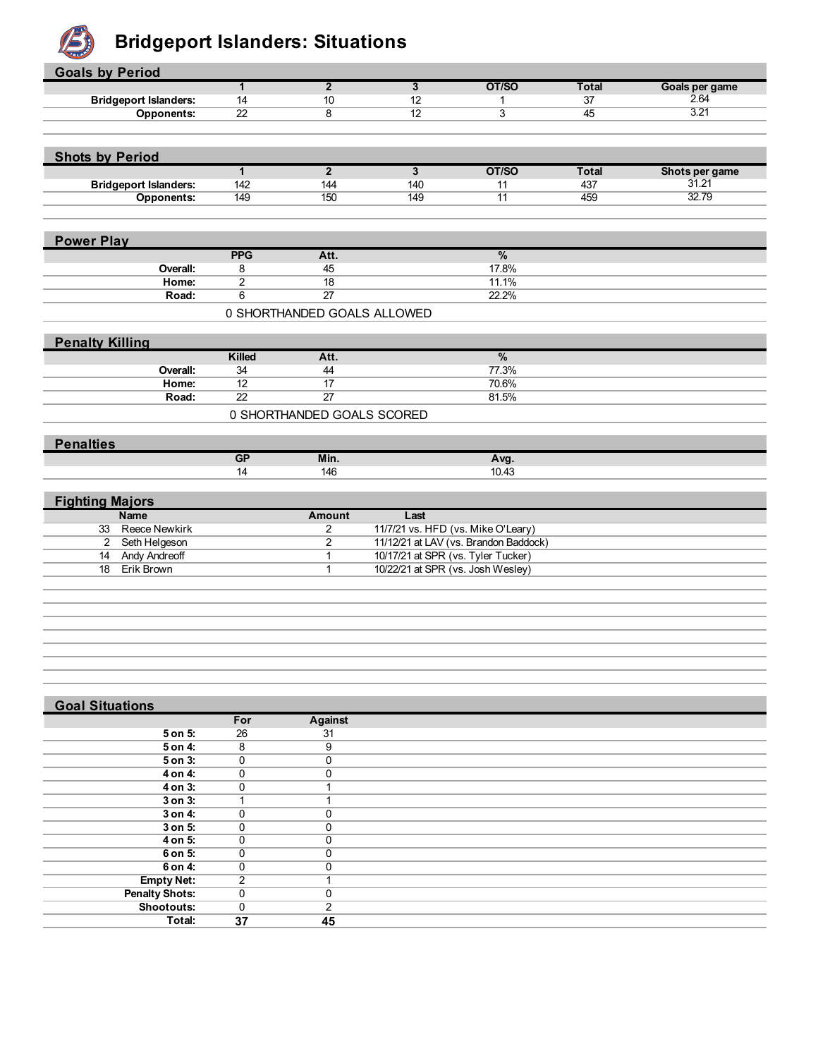

# **B** Bridgeport Islanders: Situations

| <b>Goals by Period</b>        |                       |                             |                                    |                                       |              |                         |
|-------------------------------|-----------------------|-----------------------------|------------------------------------|---------------------------------------|--------------|-------------------------|
|                               | $\mathbf{1}$          | $\overline{2}$              | $\overline{\mathbf{3}}$            | OT/SO                                 | <b>Total</b> | Goals per game          |
| <b>Bridgeport Islanders:</b>  | 14                    | 10                          | 12                                 | $\mathbf{1}$                          | 37           | 2.64                    |
| <b>Opponents:</b>             | $\overline{22}$       | 8                           | $\overline{12}$                    | $\overline{3}$                        | 45           | 3.21                    |
|                               |                       |                             |                                    |                                       |              |                         |
|                               |                       |                             |                                    |                                       |              |                         |
| <b>Shots by Period</b>        |                       | $\overline{2}$              |                                    |                                       |              |                         |
|                               | $\overline{1}$        |                             | $\overline{\mathbf{3}}$            | OT/SO                                 | <b>Total</b> | Shots per game<br>31.21 |
| <b>Bridgeport Islanders:</b>  | 142                   | 144                         | 140                                | 11                                    | 437          | 32.79                   |
| <b>Opponents:</b>             | 149                   | 150                         | 149                                | 11                                    | 459          |                         |
|                               |                       |                             |                                    |                                       |              |                         |
| <b>Power Play</b>             |                       |                             |                                    |                                       |              |                         |
|                               | <b>PPG</b>            | Att.                        |                                    | $\%$                                  |              |                         |
| Overall:                      | 8                     | 45                          |                                    | 17.8%                                 |              |                         |
| Home:                         | $\overline{2}$        | $\overline{18}$             |                                    | 11.1%                                 |              |                         |
| Road:                         | 6                     | $\overline{27}$             |                                    | 22.2%                                 |              |                         |
|                               |                       | 0 SHORTHANDED GOALS ALLOWED |                                    |                                       |              |                         |
|                               |                       |                             |                                    |                                       |              |                         |
| <b>Penalty Killing</b>        | Killed                | Att.                        |                                    | $\frac{9}{6}$                         |              |                         |
|                               |                       |                             |                                    | 77.3%                                 |              |                         |
| Overall:<br>Home:             | 34<br>$\overline{12}$ | 44<br>17                    |                                    | 70.6%                                 |              |                         |
| Road:                         | $\overline{22}$       | $\overline{27}$             |                                    | 81.5%                                 |              |                         |
|                               |                       |                             |                                    |                                       |              |                         |
|                               |                       | 0 SHORTHANDED GOALS SCORED  |                                    |                                       |              |                         |
| <b>Penalties</b>              |                       |                             |                                    |                                       |              |                         |
|                               | GP                    | Min.                        |                                    | Avg.                                  |              |                         |
|                               | 14                    | 146                         |                                    | 10.43                                 |              |                         |
|                               |                       |                             |                                    |                                       |              |                         |
| <b>Fighting Majors</b>        |                       |                             |                                    |                                       |              |                         |
| <b>Name</b>                   |                       | <b>Amount</b>               | Last                               |                                       |              |                         |
| <b>Reece Newkirk</b><br>33    |                       | $\overline{2}$              | 11/7/21 vs. HFD (vs. Mike O'Leary) |                                       |              |                         |
| $\mathbf{2}$<br>Seth Helgeson |                       | $\overline{2}$              |                                    | 11/12/21 at LAV (vs. Brandon Baddock) |              |                         |
| <b>Andy Andreoff</b><br>14    |                       | $\mathbf{1}$                | 10/17/21 at SPR (vs. Tyler Tucker) |                                       |              |                         |
| Erik Brown<br>18              |                       | $\mathbf{1}$                | 10/22/21 at SPR (vs. Josh Wesley)  |                                       |              |                         |
|                               |                       |                             |                                    |                                       |              |                         |
|                               |                       |                             |                                    |                                       |              |                         |
|                               |                       |                             |                                    |                                       |              |                         |
|                               |                       |                             |                                    |                                       |              |                         |
|                               |                       |                             |                                    |                                       |              |                         |
|                               |                       |                             |                                    |                                       |              |                         |
|                               |                       |                             |                                    |                                       |              |                         |
|                               |                       |                             |                                    |                                       |              |                         |
|                               |                       |                             |                                    |                                       |              |                         |
| <b>Goal Situations</b>        |                       |                             |                                    |                                       |              |                         |

| <b>OUAI JIWAUUIS</b>  |                |          |  |
|-----------------------|----------------|----------|--|
|                       | For            | Against  |  |
| 5 on 5:               | 26             | 31       |  |
| 5 on 4:               | 8              | 9        |  |
| 5 on 3:               | 0              | 0        |  |
| 4 on 4:               | 0              | $\Omega$ |  |
| 4 on 3:               | 0              |          |  |
| $3$ on $3$ :          |                |          |  |
| 3 on 4:               | 0              | $\Omega$ |  |
| 3 on 5:               | 0              | $\Omega$ |  |
| 4 on 5:               | 0              | $\Omega$ |  |
| 6 on 5:               | 0              | $\Omega$ |  |
| 6 on 4:               | 0              | $\Omega$ |  |
| <b>Empty Net:</b>     | $\overline{2}$ |          |  |
| <b>Penalty Shots:</b> | 0              | $\Omega$ |  |
| <b>Shootouts:</b>     | $\mathbf 0$    | 2        |  |
| Total:                | 37             | 45       |  |
|                       |                |          |  |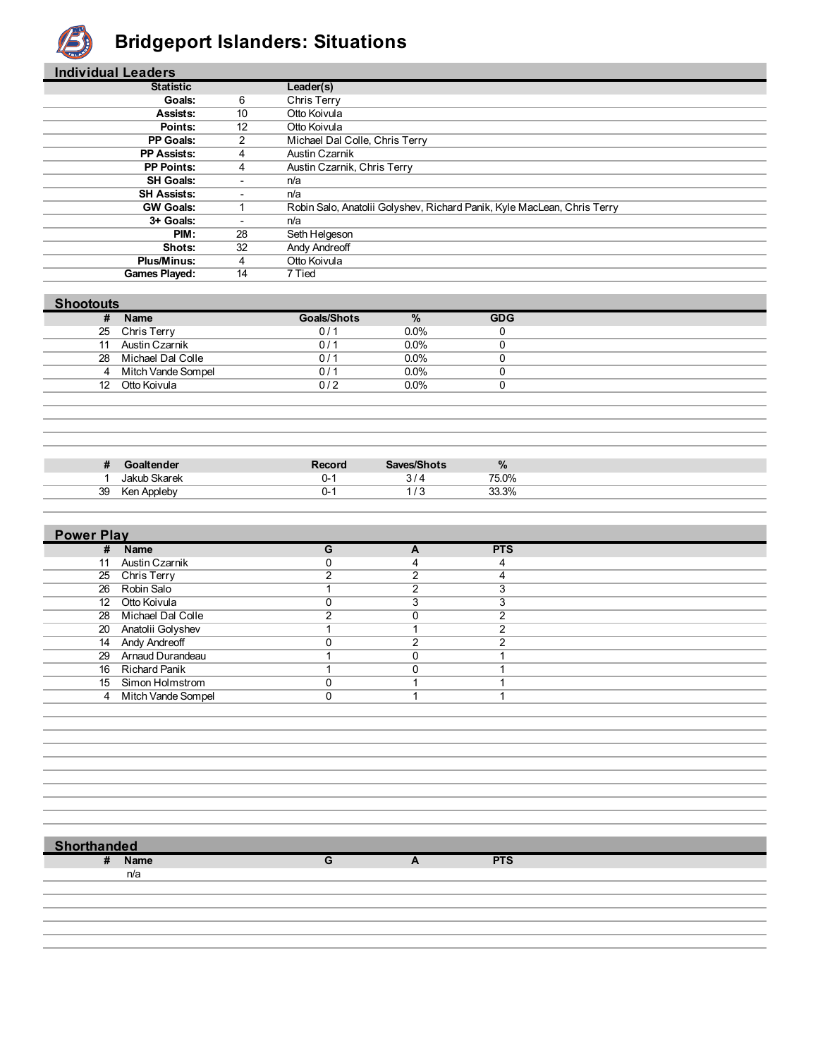

## **Bridgeport Islanders: Situations**

| <b>Individual Leaders</b> |                          |                                                                         |
|---------------------------|--------------------------|-------------------------------------------------------------------------|
| <b>Statistic</b>          |                          | Leader(s)                                                               |
| <b>Goals:</b>             | 6                        | Chris Terry                                                             |
| Assists:                  | 10                       | Otto Koivula                                                            |
| Points:                   | 12                       | Otto Koivula                                                            |
| PP Goals:                 | 2                        | Michael Dal Colle, Chris Terry                                          |
| <b>PP Assists:</b>        | 4                        | Austin Czarnik                                                          |
| <b>PP Points:</b>         | 4                        | Austin Czarnik, Chris Terry                                             |
| <b>SH Goals:</b>          | ۰                        | n/a                                                                     |
| <b>SH Assists:</b>        | ٠                        | n/a                                                                     |
| <b>GW Goals:</b>          |                          | Robin Salo, Anatolii Golyshev, Richard Panik, Kyle MacLean, Chris Terry |
| 3+ Goals:                 | $\overline{\phantom{a}}$ | n/a                                                                     |
| PIM:                      | 28                       | Seth Helgeson                                                           |
| Shots:                    | 32                       | Andy Andreoff                                                           |
| <b>Plus/Minus:</b>        | 4                        | Otto Koivula                                                            |
| <b>Games Played:</b>      | 14                       | 7 Tied                                                                  |

| <b>Shootouts</b> |  |
|------------------|--|
|                  |  |
|                  |  |

| Ħ  | Name               | Goals/Shots  | %       | <b>GDG</b> |
|----|--------------------|--------------|---------|------------|
| 25 | Chris Terry        | 0/1          | 0.0%    |            |
| 11 | Austin Czarnik     | $01^{\circ}$ | $0.0\%$ |            |
| 28 | Michael Dal Colle  | 0/2          | $0.0\%$ |            |
|    | Mitch Vande Sompel | J/           | 0.0%    |            |
| 12 | Otto Koivula       | 0/2          | $0.0\%$ |            |
|    |                    |              |         |            |

| π  | ltender                              | Record | Sayes/Shote | $\%$  |  |
|----|--------------------------------------|--------|-------------|-------|--|
|    | Skarek<br>طبرا ما                    | J-     | ັ           | 75.0% |  |
| 39 | Annloh<br><b>Kor</b><br>៶ਜ਼<br>ישטוע | J- .   | .           | 33.3% |  |

| <b>Power Play</b> |                      |   |          |            |  |
|-------------------|----------------------|---|----------|------------|--|
|                   | # Name               | G | A        | <b>PTS</b> |  |
| 11                | Austin Czarnik       |   | 4        | 4          |  |
|                   | 25 Chris Terry       | ົ | ◠        |            |  |
|                   | 26 Robin Salo        |   | ◠        | 3          |  |
|                   | 12 Otto Koivula      |   | 3        | c          |  |
|                   | 28 Michael Dal Colle | ົ | $\Omega$ | $\sim$     |  |
|                   | 20 Anatolii Golyshev |   |          |            |  |
|                   | 14 Andy Andreoff     |   | ົ        | ົ          |  |
|                   | 29 Arnaud Durandeau  |   |          |            |  |
|                   | 16 Richard Panik     |   | O        |            |  |
|                   | 15 Simon Holmstrom   |   |          |            |  |
|                   | 4 Mitch Vande Sompel | 0 |          |            |  |
|                   |                      |   |          |            |  |

 **Shorthanded**

**# Name G A PTS**

n/a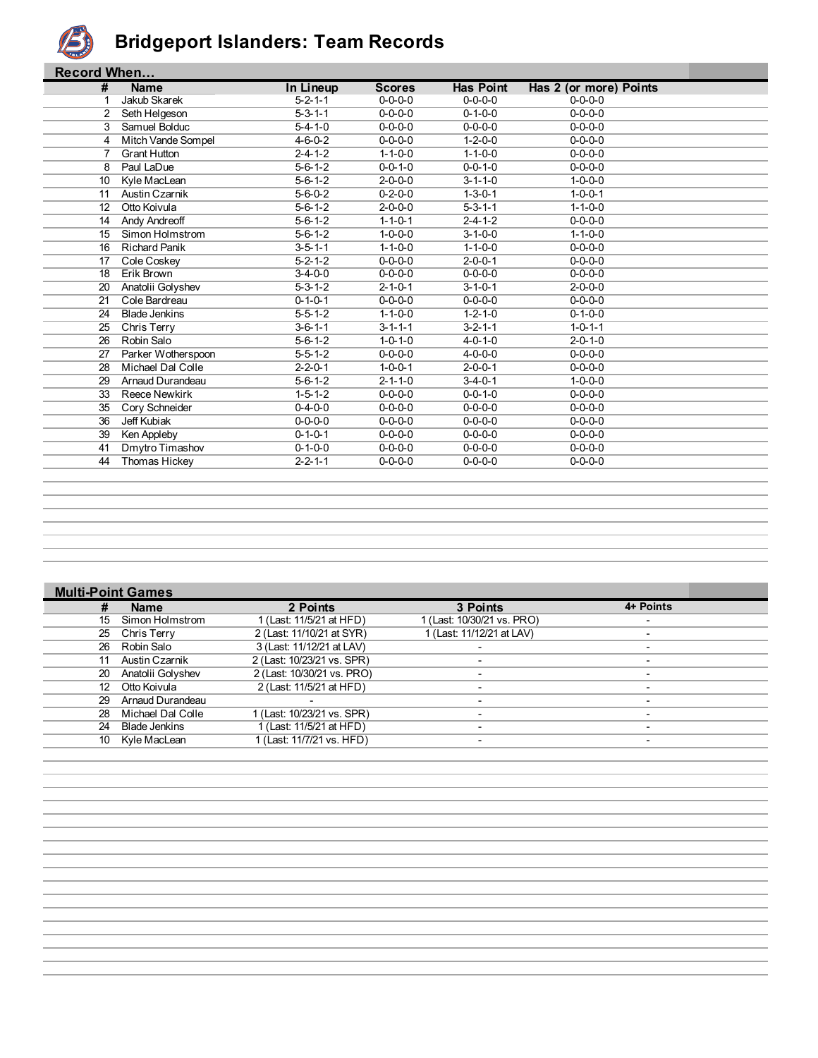

#### **Bridgeport Islanders: Team Records**

|    | <b>Record When</b>   |                 |                 |                  |                        |  |  |  |  |
|----|----------------------|-----------------|-----------------|------------------|------------------------|--|--|--|--|
| #  | <b>Name</b>          | In Lineup       | <b>Scores</b>   | <b>Has Point</b> | Has 2 (or more) Points |  |  |  |  |
| 1  | Jakub Skarek         | $5 - 2 - 1 - 1$ | $0 - 0 - 0 - 0$ | $0 - 0 - 0 - 0$  | $0 - 0 - 0 - 0$        |  |  |  |  |
| 2  | Seth Helgeson        | $5 - 3 - 1 - 1$ | $0 - 0 - 0 - 0$ | $0 - 1 - 0 - 0$  | $0 - 0 - 0 - 0$        |  |  |  |  |
| 3  | Samuel Bolduc        | $5 - 4 - 1 - 0$ | $0 - 0 - 0 - 0$ | $0 - 0 - 0 - 0$  | $0 - 0 - 0 - 0$        |  |  |  |  |
| 4  | Mitch Vande Sompel   | $4 - 6 - 0 - 2$ | $0 - 0 - 0 - 0$ | $1 - 2 - 0 - 0$  | $0 - 0 - 0 - 0$        |  |  |  |  |
| 7  | <b>Grant Hutton</b>  | $2 - 4 - 1 - 2$ | $1 - 1 - 0 - 0$ | $1 - 1 - 0 - 0$  | $0 - 0 - 0 - 0$        |  |  |  |  |
| 8  | Paul LaDue           | $5 - 6 - 1 - 2$ | $0 - 0 - 1 - 0$ | $0 - 0 - 1 - 0$  | $0 - 0 - 0 - 0$        |  |  |  |  |
| 10 | Kyle MacLean         | $5 - 6 - 1 - 2$ | $2 - 0 - 0 - 0$ | $3 - 1 - 1 - 0$  | $1 - 0 - 0 - 0$        |  |  |  |  |
| 11 | Austin Czarnik       | $5 - 6 - 0 - 2$ | $0 - 2 - 0 - 0$ | $1 - 3 - 0 - 1$  | $1 - 0 - 0 - 1$        |  |  |  |  |
| 12 | Otto Koivula         | $5 - 6 - 1 - 2$ | $2 - 0 - 0 - 0$ | $5 - 3 - 1 - 1$  | $1 - 1 - 0 - 0$        |  |  |  |  |
| 14 | Andy Andreoff        | $5 - 6 - 1 - 2$ | $1 - 1 - 0 - 1$ | $2 - 4 - 1 - 2$  | $0 - 0 - 0 - 0$        |  |  |  |  |
| 15 | Simon Holmstrom      | $5 - 6 - 1 - 2$ | $1 - 0 - 0 - 0$ | $3 - 1 - 0 - 0$  | $1 - 1 - 0 - 0$        |  |  |  |  |
| 16 | <b>Richard Panik</b> | $3 - 5 - 1 - 1$ | $1 - 1 - 0 - 0$ | $1 - 1 - 0 - 0$  | $0 - 0 - 0 - 0$        |  |  |  |  |
| 17 | Cole Coskey          | $5 - 2 - 1 - 2$ | $0 - 0 - 0 - 0$ | $2 - 0 - 0 - 1$  | $0 - 0 - 0 - 0$        |  |  |  |  |
| 18 | Erik Brown           | $3 - 4 - 0 - 0$ | $0 - 0 - 0 - 0$ | $0 - 0 - 0 - 0$  | $0 - 0 - 0 - 0$        |  |  |  |  |
| 20 | Anatolii Golyshev    | $5 - 3 - 1 - 2$ | $2 - 1 - 0 - 1$ | $3 - 1 - 0 - 1$  | $2 - 0 - 0 - 0$        |  |  |  |  |
| 21 | Cole Bardreau        | $0 - 1 - 0 - 1$ | $0 - 0 - 0 - 0$ | $0 - 0 - 0 - 0$  | $0 - 0 - 0 - 0$        |  |  |  |  |
| 24 | <b>Blade Jenkins</b> | $5 - 5 - 1 - 2$ | $1 - 1 - 0 - 0$ | $1 - 2 - 1 - 0$  | $0 - 1 - 0 - 0$        |  |  |  |  |
| 25 | Chris Terry          | $3-6-1-1$       | $3 - 1 - 1 - 1$ | $3 - 2 - 1 - 1$  | $1 - 0 - 1 - 1$        |  |  |  |  |
| 26 | Robin Salo           | $5 - 6 - 1 - 2$ | $1 - 0 - 1 - 0$ | $4 - 0 - 1 - 0$  | $2 - 0 - 1 - 0$        |  |  |  |  |
| 27 | Parker Wotherspoon   | $5 - 5 - 1 - 2$ | $0 - 0 - 0 - 0$ | $4 - 0 - 0 - 0$  | $0 - 0 - 0 - 0$        |  |  |  |  |
| 28 | Michael Dal Colle    | $2 - 2 - 0 - 1$ | $1 - 0 - 0 - 1$ | $2 - 0 - 0 - 1$  | $0 - 0 - 0 - 0$        |  |  |  |  |
| 29 | Arnaud Durandeau     | $5 - 6 - 1 - 2$ | $2 - 1 - 1 - 0$ | $3 - 4 - 0 - 1$  | $1 - 0 - 0 - 0$        |  |  |  |  |
| 33 | <b>Reece Newkirk</b> | $1 - 5 - 1 - 2$ | $0 - 0 - 0 - 0$ | $0 - 0 - 1 - 0$  | $0 - 0 - 0 - 0$        |  |  |  |  |
| 35 | Cory Schneider       | $0 - 4 - 0 - 0$ | $0 - 0 - 0 - 0$ | $0 - 0 - 0 - 0$  | $0 - 0 - 0 - 0$        |  |  |  |  |
| 36 | Jeff Kubiak          | $0 - 0 - 0 - 0$ | $0 - 0 - 0 - 0$ | $0 - 0 - 0 - 0$  | $0 - 0 - 0 - 0$        |  |  |  |  |
| 39 | Ken Appleby          | $0 - 1 - 0 - 1$ | $0 - 0 - 0 - 0$ | $0 - 0 - 0 - 0$  | $0 - 0 - 0 - 0$        |  |  |  |  |
| 41 | Dmytro Timashov      | $0 - 1 - 0 - 0$ | $0 - 0 - 0 - 0$ | $0 - 0 - 0 - 0$  | $0 - 0 - 0 - 0$        |  |  |  |  |
| 44 | Thomas Hickey        | $2 - 2 - 1 - 1$ | $0 - 0 - 0 - 0$ | $0 - 0 - 0 - 0$  | $0 - 0 - 0 - 0$        |  |  |  |  |
|    |                      |                 |                 |                  |                        |  |  |  |  |

#### **Multi-Point Games # Name 2 Points 3 Points 4+ Points** 15 Simon Holmstrom 1 (Last: 11/5/21 at HFD) 1 (Last: 10/30/21 vs. PRO) 25 Chris Terry 2 (Last: 11/10/21 at SYR) 1 (Last: 11/12/21 at LAV) -<br>26 Robin Salo 3 (Last: 11/12/21 at LAV) -26 Robin Salo 3 (Last: 11/12/21 at LAV) - - 11 Austin Czarnik 2 (Last: 10/23/21 vs. SPR) - - 20 Anatolii Golyshev 2 (Last: 10/30/21 vs. PRO) - - 12 Otto Koivula 2 (Last: 11/5/21 at HFD) - - 29 Arnaud Durandeau - - - 28 Michael Dal Colle 1 (Last: 10/23/21 vs. SPR) - - 24 Alexander Classic 11/5/21 at HFD) 4 Alexander Classic 11/5/21 at HFD  $\overline{)}$ 10 Kyle MacLean 1 (Last: 11/7/21 vs. HFD)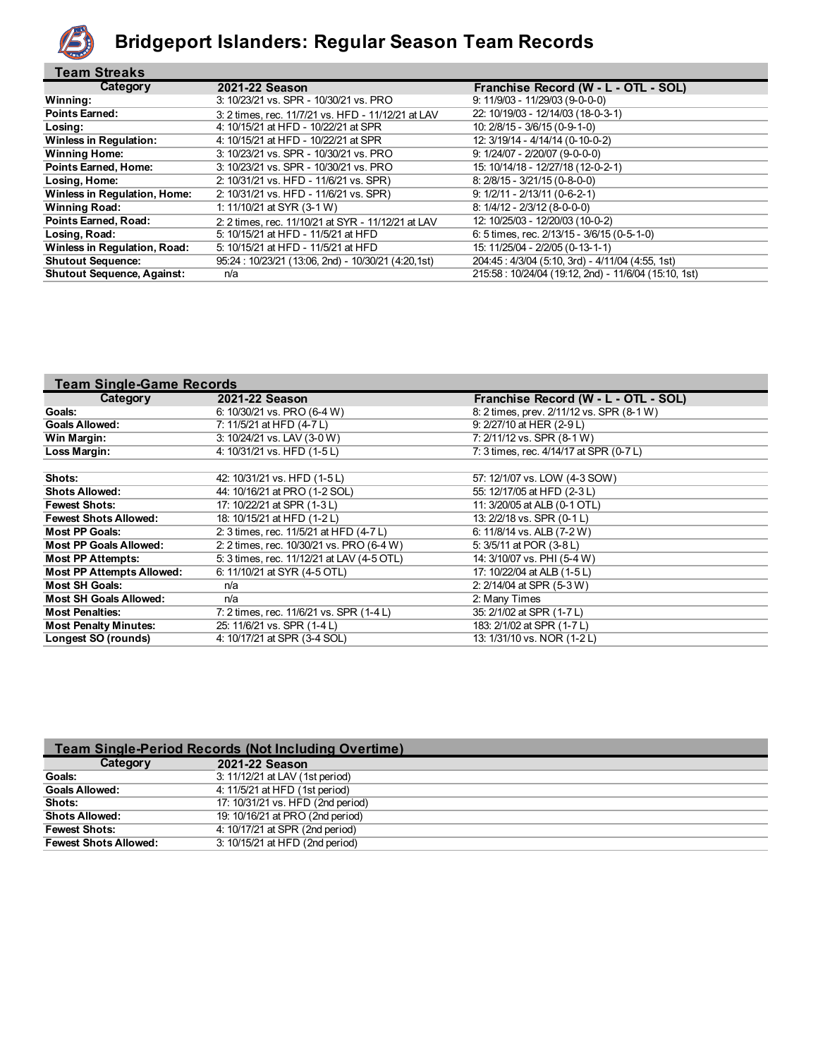

#### **Bridgeport Islanders: Regular Season Team Records**

| <b>Team Streaks</b>                 |                                                     |                                                      |
|-------------------------------------|-----------------------------------------------------|------------------------------------------------------|
| Category                            | 2021-22 Season                                      | Franchise Record (W - L - OTL - SOL)                 |
| Winning:                            | 3: 10/23/21 vs. SPR - 10/30/21 vs. PRO              | $9: 11/9/03 - 11/29/03 (9-0-0)$                      |
| <b>Points Earned:</b>               | 3: 2 times, rec. 11/7/21 vs. HFD - 11/12/21 at LAV  | 22: 10/19/03 - 12/14/03 (18-0-3-1)                   |
| Losing:                             | 4: 10/15/21 at HFD - 10/22/21 at SPR                | 10: 2/8/15 - 3/6/15 (0-9-1-0)                        |
| <b>Winless in Regulation:</b>       | 4: 10/15/21 at HFD - 10/22/21 at SPR                | 12: 3/19/14 - 4/14/14 (0-10-0-2)                     |
| <b>Winning Home:</b>                | 3: 10/23/21 vs. SPR - 10/30/21 vs. PRO              | $9: 1/24/07 - 2/20/07 (9-0-0-0)$                     |
| <b>Points Earned, Home:</b>         | 3: 10/23/21 vs. SPR - 10/30/21 vs. PRO              | 15: 10/14/18 - 12/27/18 (12-0-2-1)                   |
| Losing, Home:                       | 2: 10/31/21 vs. HFD - 11/6/21 vs. SPR)              | $8: 2/8/15 - 3/21/15 (0-8-0-0)$                      |
| <b>Winless in Requlation, Home:</b> | 2: 10/31/21 vs. HFD - 11/6/21 vs. SPR)              | $9: 1/2/11 - 2/13/11 (0-6-2-1)$                      |
| <b>Winning Road:</b>                | 1: 11/10/21 at SYR (3-1 W)                          | $8: 1/4/12 - 2/3/12$ (8-0-0-0)                       |
| <b>Points Earned, Road:</b>         | 2: 2 times, rec. 11/10/21 at SYR - 11/12/21 at LAV  | 12: 10/25/03 - 12/20/03 (10-0-2)                     |
| Losing, Road:                       | 5: 10/15/21 at HFD - 11/5/21 at HFD                 | 6: 5 times, rec. $2/13/15 - 3/6/15$ (0-5-1-0)        |
| <b>Winless in Requlation, Road:</b> | 5: 10/15/21 at HFD - 11/5/21 at HFD                 | 15: 11/25/04 - 2/2/05 (0-13-1-1)                     |
| <b>Shutout Sequence:</b>            | 95:24: 10/23/21 (13:06, 2nd) - 10/30/21 (4:20, 1st) | 204:45: 4/3/04 (5:10, 3rd) - 4/11/04 (4:55, 1st)     |
| <b>Shutout Sequence, Against:</b>   | n/a                                                 | 215:58: 10/24/04 (19:12, 2nd) - 11/6/04 (15:10, 1st) |

| <b>Team Single-Game Records</b>  |                                            |                                           |
|----------------------------------|--------------------------------------------|-------------------------------------------|
| Category                         | 2021-22 Season                             | Franchise Record (W - L - OTL - SOL)      |
| Goals:                           | 6: 10/30/21 vs. PRO (6-4 W)                | 8: 2 times, prev. 2/11/12 vs. SPR (8-1 W) |
| <b>Goals Allowed:</b>            | 7: 11/5/21 at HFD (4-7 L)                  | 9: 2/27/10 at HER (2-9 L)                 |
| Win Margin:                      | 3: 10/24/21 vs. LAV (3-0 W)                | 7: 2/11/12 vs. SPR (8-1 W)                |
| Loss Margin:                     | 4: 10/31/21 vs. HFD (1-5 L)                | 7: 3 times, rec. 4/14/17 at SPR (0-7 L)   |
|                                  |                                            |                                           |
| Shots:                           | 42: 10/31/21 vs. HFD (1-5 L)               | 57: 12/1/07 vs. LOW (4-3 SOW)             |
| <b>Shots Allowed:</b>            | 44: 10/16/21 at PRO (1-2 SOL)              | 55: 12/17/05 at HFD (2-3 L)               |
| <b>Fewest Shots:</b>             | 17: 10/22/21 at SPR (1-3 L)                | 11: 3/20/05 at ALB (0-1 OTL)              |
| <b>Fewest Shots Allowed:</b>     | 18: 10/15/21 at HFD (1-2L)                 | 13: 2/2/18 vs. SPR (0-1 L)                |
| <b>Most PP Goals:</b>            | 2: 3 times, rec. 11/5/21 at HFD (4-7 L)    | 6: 11/8/14 vs. ALB (7-2 W)                |
| <b>Most PP Goals Allowed:</b>    | 2: 2 times, rec. 10/30/21 vs. PRO (6-4 W)  | 5: 3/5/11 at POR (3-8 L)                  |
| <b>Most PP Attempts:</b>         | 5: 3 times, rec. 11/12/21 at LAV (4-5 OTL) | 14: 3/10/07 vs. PHI (5-4 W)               |
| <b>Most PP Attempts Allowed:</b> | 6: 11/10/21 at SYR (4-5 OTL)               | 17: 10/22/04 at ALB (1-5 L)               |
| <b>Most SH Goals:</b>            | n/a                                        | 2: 2/14/04 at SPR (5-3 W)                 |
| <b>Most SH Goals Allowed:</b>    | n/a                                        | 2: Many Times                             |
| <b>Most Penalties:</b>           | 7: 2 times, rec. 11/6/21 vs. SPR (1-4 L)   | 35: 2/1/02 at SPR (1-7 L)                 |
| <b>Most Penalty Minutes:</b>     | 25: 11/6/21 vs. SPR (1-4 L)                | 183: 2/1/02 at SPR (1-7 L)                |
| Longest SO (rounds)              | 4: 10/17/21 at SPR (3-4 SOL)               | 13: 1/31/10 vs. NOR (1-2L)                |

| <b>Team Single-Period Records (Not Including Overtime)</b> |                                   |  |  |  |
|------------------------------------------------------------|-----------------------------------|--|--|--|
| Category                                                   | 2021-22 Season                    |  |  |  |
| Goals:                                                     | 3: 11/12/21 at LAV (1st period)   |  |  |  |
| <b>Goals Allowed:</b>                                      | 4: 11/5/21 at HFD (1st period)    |  |  |  |
| Shots:                                                     | 17: 10/31/21 vs. HFD (2nd period) |  |  |  |
| <b>Shots Allowed:</b>                                      | 19: 10/16/21 at PRO (2nd period)  |  |  |  |
| <b>Fewest Shots:</b>                                       | 4: 10/17/21 at SPR (2nd period)   |  |  |  |
| <b>Fewest Shots Allowed:</b>                               | 3: 10/15/21 at HFD (2nd period)   |  |  |  |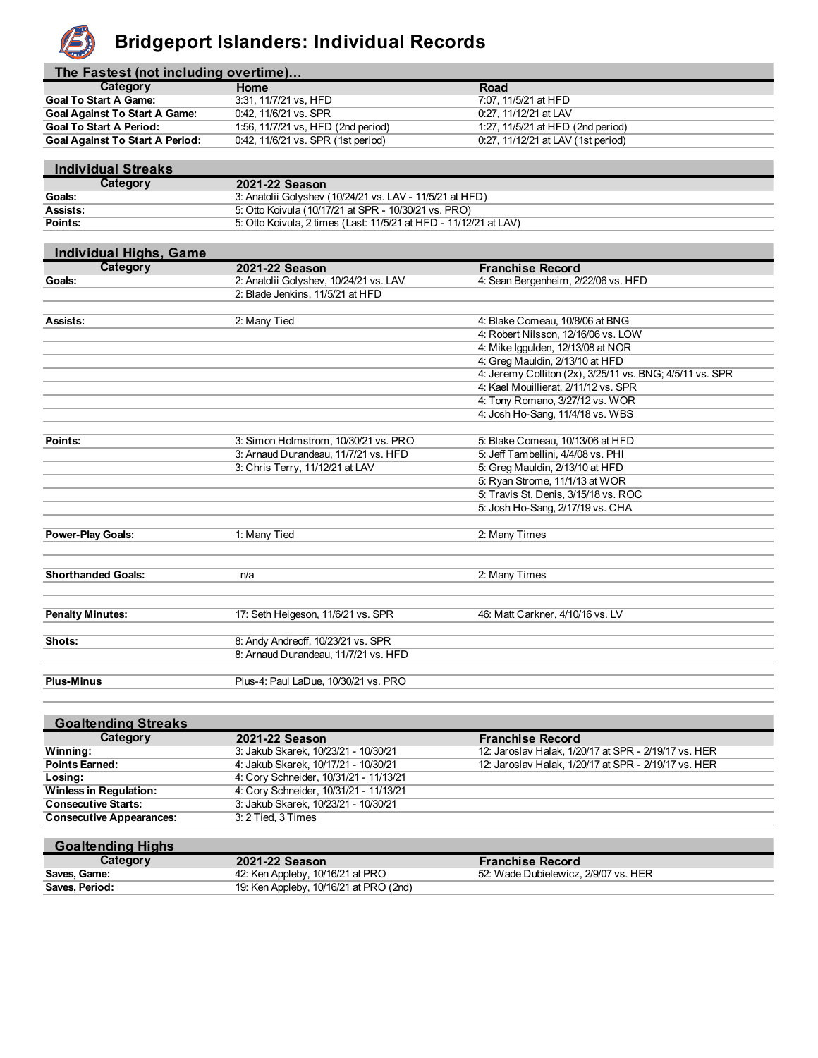

## **Bridgeport Islanders: Individual Records**

| The Fastest (not including overtime)   |                                    |                                    |  |  |  |  |
|----------------------------------------|------------------------------------|------------------------------------|--|--|--|--|
| Category                               | Home                               | Road                               |  |  |  |  |
| <b>Goal To Start A Game:</b>           | 3:31, 11/7/21 vs. HFD              | 7:07, 11/5/21 at HFD               |  |  |  |  |
| <b>Goal Against To Start A Game:</b>   | 0.42, 11/6/21 vs. SPR              | 0:27, 11/12/21 at LAV              |  |  |  |  |
| <b>Goal To Start A Period:</b>         | 1:56, 11/7/21 vs, HFD (2nd period) | 1:27, 11/5/21 at HFD (2nd period)  |  |  |  |  |
| <b>Goal Against To Start A Period:</b> | 0.42, 11/6/21 vs. SPR (1st period) | 0:27, 11/12/21 at LAV (1st period) |  |  |  |  |

| <b>Individual Streaks</b> |                                                                   |
|---------------------------|-------------------------------------------------------------------|
| Category                  | 2021-22 Season                                                    |
| <b>Goals:</b>             | 3: Anatolii Golyshev (10/24/21 vs. LAV - 11/5/21 at HFD)          |
| Assists:                  | 5: Otto Koivula (10/17/21 at SPR - 10/30/21 vs. PRO)              |
| Points:                   | 5: Otto Koivula, 2 times (Last: 11/5/21 at HFD - 11/12/21 at LAV) |

| <b>Individual Highs, Game</b> |                                        |                                                          |
|-------------------------------|----------------------------------------|----------------------------------------------------------|
| Category                      | 2021-22 Season                         | <b>Franchise Record</b>                                  |
| Goals:                        | 2: Anatolii Golyshev, 10/24/21 vs. LAV | 4: Sean Bergenheim, 2/22/06 vs. HFD                      |
|                               | 2: Blade Jenkins, 11/5/21 at HFD       |                                                          |
|                               |                                        |                                                          |
| Assists:                      | 2: Many Tied                           | 4: Blake Comeau, 10/8/06 at BNG                          |
|                               |                                        | 4: Robert Nilsson, 12/16/06 vs. LOW                      |
|                               |                                        | 4: Mike Iggulden, 12/13/08 at NOR                        |
|                               |                                        | 4: Greg Mauldin, 2/13/10 at HFD                          |
|                               |                                        | 4: Jeremy Colliton (2x), 3/25/11 vs. BNG; 4/5/11 vs. SPR |
|                               |                                        | 4: Kael Mouillierat, 2/11/12 vs. SPR                     |
|                               |                                        | 4: Tony Romano, 3/27/12 vs. WOR                          |
|                               |                                        | 4: Josh Ho-Sang, 11/4/18 vs. WBS                         |
|                               |                                        |                                                          |
| Points:                       | 3: Simon Holmstrom, 10/30/21 vs. PRO   | 5: Blake Comeau, 10/13/06 at HFD                         |
|                               | 3: Arnaud Durandeau, 11/7/21 vs. HFD   | 5: Jeff Tambellini, 4/4/08 vs. PHI                       |
|                               | 3: Chris Terry, 11/12/21 at LAV        | 5: Greg Mauldin, 2/13/10 at HFD                          |
|                               |                                        | 5: Ryan Strome, 11/1/13 at WOR                           |
|                               |                                        | 5: Travis St. Denis, 3/15/18 vs. ROC                     |
|                               |                                        | 5: Josh Ho-Sang, 2/17/19 vs. CHA                         |
|                               |                                        |                                                          |
| <b>Power-Play Goals:</b>      | 1: Many Tied                           | 2: Many Times                                            |
|                               |                                        |                                                          |
|                               |                                        |                                                          |
| <b>Shorthanded Goals:</b>     | n/a                                    | 2: Many Times                                            |
|                               |                                        |                                                          |
|                               |                                        |                                                          |
| <b>Penalty Minutes:</b>       | 17: Seth Helgeson, 11/6/21 vs. SPR     | 46: Matt Carkner, 4/10/16 vs. LV                         |
|                               |                                        |                                                          |
| Shots:                        | 8: Andy Andreoff, 10/23/21 vs. SPR     |                                                          |
|                               | 8: Arnaud Durandeau, 11/7/21 vs. HFD   |                                                          |
|                               |                                        |                                                          |
| <b>Plus-Minus</b>             | Plus-4: Paul LaDue, 10/30/21 vs. PRO   |                                                          |

| <b>Goaltending Streaks</b>      |                                        |                                                      |
|---------------------------------|----------------------------------------|------------------------------------------------------|
| Category                        | 2021-22 Season                         | <b>Franchise Record</b>                              |
| Winning:                        | 3: Jakub Skarek, 10/23/21 - 10/30/21   | 12: Jaroslav Halak, 1/20/17 at SPR - 2/19/17 vs. HER |
| <b>Points Earned:</b>           | 4: Jakub Skarek, 10/17/21 - 10/30/21   | 12: Jaroslav Halak, 1/20/17 at SPR - 2/19/17 vs. HER |
| Losing:                         | 4: Cory Schneider, 10/31/21 - 11/13/21 |                                                      |
| <b>Winless in Regulation:</b>   | 4: Cory Schneider, 10/31/21 - 11/13/21 |                                                      |
| <b>Consecutive Starts:</b>      | 3: Jakub Skarek, 10/23/21 - 10/30/21   |                                                      |
| <b>Consecutive Appearances:</b> | 3: 2 Tied, 3 Times                     |                                                      |
|                                 |                                        |                                                      |

#### **Goaltending Highs**

| Category       | 2021-22 Season                         | <b>Franchise Record</b>              |
|----------------|----------------------------------------|--------------------------------------|
| Saves, Game:   | 42: Ken Appleby, 10/16/21 at PRO       | 52: Wade Dubielewicz, 2/9/07 vs. HER |
| Saves, Period: | 19: Ken Appleby, 10/16/21 at PRO (2nd) |                                      |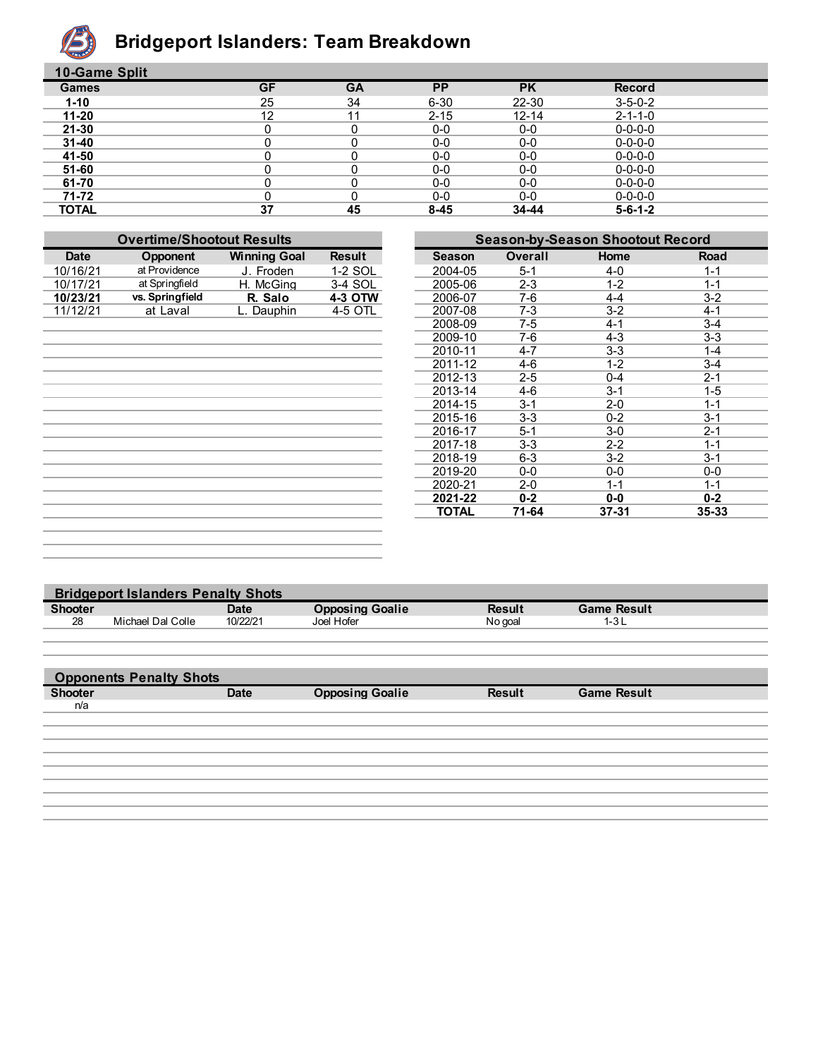

## **Bridgeport Islanders: Team Breakdown**

| 10-Game Split |           |           |           |           |                 |  |
|---------------|-----------|-----------|-----------|-----------|-----------------|--|
| <b>Games</b>  | <b>GF</b> | <b>GA</b> | <b>PP</b> | <b>PK</b> | <b>Record</b>   |  |
| $1 - 10$      | 25        | 34        | $6 - 30$  | $22 - 30$ | $3 - 5 - 0 - 2$ |  |
| $11 - 20$     | 12        | 11        | $2 - 15$  | $12 - 14$ | $2 - 1 - 1 - 0$ |  |
| $21 - 30$     |           |           | $0-0$     | $0-0$     | $0 - 0 - 0 - 0$ |  |
| $31 - 40$     |           |           | $0-0$     | $0-0$     | $0 - 0 - 0 - 0$ |  |
| 41-50         |           | 0         | $0-0$     | $0-0$     | $0 - 0 - 0 - 0$ |  |
| 51-60         |           | 0         | $0-0$     | $0-0$     | $0 - 0 - 0 - 0$ |  |
| 61-70         |           |           | $0-0$     | $0-0$     | $0 - 0 - 0 - 0$ |  |
| 71-72         |           |           | $0-0$     | $0-0$     | $0 - 0 - 0 - 0$ |  |
| <b>TOTAL</b>  | 37        | 45        | $8 - 45$  | 34-44     | $5 - 6 - 1 - 2$ |  |

| <b>Overtime/Shootout Results</b> |                 |                     |               |               | <b>Season-by-Season Shootout Record</b> |           |         |
|----------------------------------|-----------------|---------------------|---------------|---------------|-----------------------------------------|-----------|---------|
| <b>Date</b>                      | Opponent        | <b>Winning Goal</b> | <b>Result</b> | <b>Season</b> | <b>Overall</b>                          | Home      | Road    |
| 10/16/21                         | at Providence   | J. Froden           | 1-2 SOL       | 2004-05       | $5 - 1$                                 | $4 - 0$   | $1 - 1$ |
| 10/17/21                         | at Springfield  | H. McGing           | 3-4 SOL       | 2005-06       | $2 - 3$                                 | $1 - 2$   | $1 - 1$ |
| 10/23/21                         | vs. Springfield | R. Salo             | 4-3 OTW       | 2006-07       | 7-6                                     | $4 - 4$   | $3-2$   |
| 11/12/21                         | at Laval        | L. Dauphin          | 4-5 OTL       | 2007-08       | $7-3$                                   | $3 - 2$   | $4 - 1$ |
|                                  |                 |                     |               | 2008-09       | 7-5                                     | $4 - 1$   | $3 - 4$ |
|                                  |                 |                     |               | 2009-10       | 7-6                                     | $4 - 3$   | $3 - 3$ |
|                                  |                 |                     |               | 2010-11       | $4 - 7$                                 | $3 - 3$   | $1 - 4$ |
|                                  |                 |                     |               | 2011-12       | $4-6$                                   | $1 - 2$   | $3 - 4$ |
|                                  |                 |                     |               | 2012-13       | $2 - 5$                                 | $0 - 4$   | $2 - 1$ |
|                                  |                 |                     |               | 2013-14       | 4-6                                     | $3 - 1$   | $1 - 5$ |
|                                  |                 |                     |               | 2014-15       | $3 - 1$                                 | $2 - 0$   | $1 - 1$ |
|                                  |                 |                     |               | 2015-16       | $3-3$                                   | $0 - 2$   | $3 - 1$ |
|                                  |                 |                     |               | 2016-17       | $5 - 1$                                 | $3-0$     | $2 - 1$ |
|                                  |                 |                     |               | 2017-18       | $3-3$                                   | $2 - 2$   | $1 - 1$ |
|                                  |                 |                     |               | 2018-19       | $6-3$                                   | $3 - 2$   | $3 - 1$ |
|                                  |                 |                     |               | 2019-20       | $0-0$                                   | $0-0$     | $0-0$   |
|                                  |                 |                     |               | 2020-21       | $2 - 0$                                 | $1 - 1$   | $1 - 1$ |
|                                  |                 |                     |               | 2021-22       | $0 - 2$                                 | $0-0$     | $0 - 2$ |
|                                  |                 |                     |               | <b>TOTAL</b>  | 71-64                                   | $37 - 31$ | 35-33   |
|                                  |                 |                     |               |               |                                         |           |         |
|                                  |                 |                     |               |               |                                         |           |         |
|                                  |                 |                     |               |               |                                         |           |         |

|                | <b>Bridgeport Islanders Penalty Shots</b> |             |                        |               |                    |  |  |  |
|----------------|-------------------------------------------|-------------|------------------------|---------------|--------------------|--|--|--|
| <b>Shooter</b> |                                           | <b>Date</b> | <b>Opposing Goalie</b> | <b>Result</b> | <b>Game Result</b> |  |  |  |
| 28             | Michael Dal Colle                         | 10/22/21    | Joel Hofer             | No goal       | $1 - 3L$           |  |  |  |
|                |                                           |             |                        |               |                    |  |  |  |
|                |                                           |             |                        |               |                    |  |  |  |
|                |                                           |             |                        |               |                    |  |  |  |
|                | <b>Opponents Penalty Shots</b>            |             |                        |               |                    |  |  |  |
| <b>Shooter</b> |                                           | <b>Date</b> | <b>Opposing Goalie</b> | <b>Result</b> | <b>Game Result</b> |  |  |  |
| n/a            |                                           |             |                        |               |                    |  |  |  |
|                |                                           |             |                        |               |                    |  |  |  |
|                |                                           |             |                        |               |                    |  |  |  |
|                |                                           |             |                        |               |                    |  |  |  |
|                |                                           |             |                        |               |                    |  |  |  |
|                |                                           |             |                        |               |                    |  |  |  |
|                |                                           |             |                        |               |                    |  |  |  |
|                |                                           |             |                        |               |                    |  |  |  |
|                |                                           |             |                        |               |                    |  |  |  |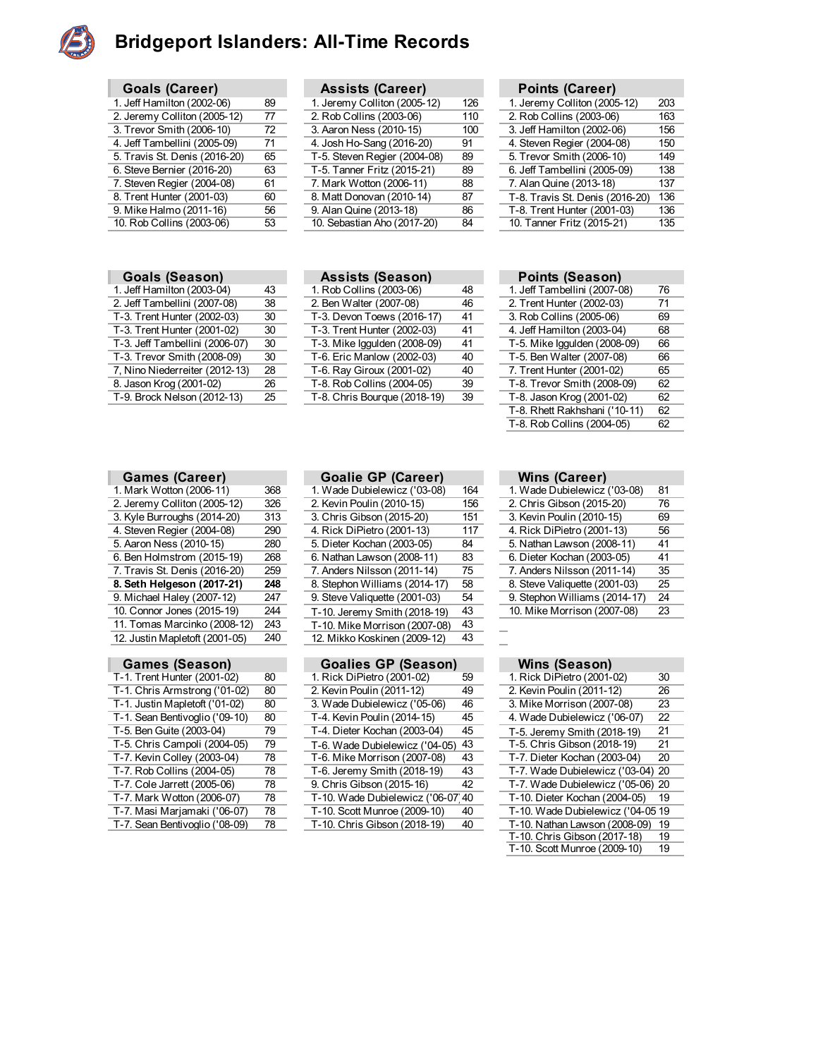

#### **Bridgeport Islanders: All-Time Records**

| <b>Goals (Career)</b>         |    |
|-------------------------------|----|
| 1. Jeff Hamilton (2002-06)    | 89 |
| 2. Jeremy Colliton (2005-12)  | 77 |
| 3. Trevor Smith (2006-10)     | 72 |
| 4. Jeff Tambellini (2005-09)  | 71 |
| 5. Travis St. Denis (2016-20) | 65 |
| 6. Steve Bernier (2016-20)    | 63 |
| 7. Steven Regier (2004-08)    | 61 |
| 8. Trent Hunter (2001-03)     | 60 |
| 9. Mike Halmo (2011-16)       | 56 |
| 10. Rob Collins (2003-06)     | 53 |

|  | <b>Goals (Season)</b> |
|--|-----------------------|
|--|-----------------------|

| 1. Jeff Hamilton (2003-04)     | 43 |
|--------------------------------|----|
| 2. Jeff Tambellini (2007-08)   | 38 |
| T-3. Trent Hunter (2002-03)    | 30 |
| T-3. Trent Hunter (2001-02)    | 30 |
| T-3. Jeff Tambellini (2006-07) | 30 |
| T-3. Trevor Smith (2008-09)    | 30 |
| 7, Nino Niederreiter (2012-13) | 28 |
| 8. Jason Krog (2001-02)        | 26 |
| T-9. Brock Nelson (2012-13)    | 25 |

| <b>Assists (Career)</b>      |     | Points (Career)           |
|------------------------------|-----|---------------------------|
| 1. Jeremy Colliton (2005-12) | 126 | 1. Jeremy Colliton (200   |
| 2. Rob Collins (2003-06)     | 110 | 2. Rob Collins (2003-06   |
| 3. Aaron Ness (2010-15)      | 100 | 3. Jeff Hamilton (2002-0  |
| 4. Josh Ho-Sang (2016-20)    | 91  | 4. Steven Regier (2004-   |
| T-5. Steven Regier (2004-08) | 89  | 5. Trevor Smith (2006-1   |
| T-5. Tanner Fritz (2015-21)  | 89  | 6. Jeff Tambellini (2005- |
| 7. Mark Wotton (2006-11)     | 88  | 7. Alan Quine (2013-18)   |
| 8. Matt Donovan (2010-14)    | 87  | T-8. Travis St. Denis (2  |
| 9. Alan Quine (2013-18)      | 86  | T-8. Trent Hunter (2001   |
| 10. Sebastian Aho (2017-20)  | 84  | 10. Tanner Fritz (2015-2  |
|                              |     |                           |
|                              |     |                           |
|                              |     |                           |

|                               |    |                              |     | .                               |     |
|-------------------------------|----|------------------------------|-----|---------------------------------|-----|
| 1. Jeff Hamilton (2002-06)    | 89 | 1. Jeremy Colliton (2005-12) | 126 | 1. Jeremy Colliton (2005-12)    | 203 |
| 2. Jeremy Colliton (2005-12)  | 77 | 2. Rob Collins (2003-06)     | 110 | 2. Rob Collins (2003-06)        | 163 |
| 3. Trevor Smith (2006-10)     | 72 | 3. Aaron Ness (2010-15)      | 100 | 3. Jeff Hamilton (2002-06)      | 156 |
| 4. Jeff Tambellini (2005-09)  | 71 | 4. Josh Ho-Sang (2016-20)    | 91  | 4. Steven Regier (2004-08)      | 150 |
| 5. Travis St. Denis (2016-20) | 65 | T-5. Steven Regier (2004-08) | 89  | 5. Trevor Smith (2006-10)       | 149 |
| 6. Steve Bernier (2016-20)    | 63 | T-5. Tanner Fritz (2015-21)  | 89  | 6. Jeff Tambellini (2005-09)    | 138 |
| 7. Steven Regier (2004-08)    | 61 | 7. Mark Wotton (2006-11)     | 88  | 7. Alan Quine (2013-18)         | 137 |
| 8. Trent Hunter (2001-03)     | 60 | 8. Matt Donovan (2010-14)    | 87  | T-8. Travis St. Denis (2016-20) | 136 |
| 9. Mike Halmo (2011-16)       | 56 | 9. Alan Quine (2013-18)      | 86  | T-8. Trent Hunter (2001-03)     | 136 |
| 10. Rob Collins (2003-06)     | 53 | 10. Sebastian Aho (2017-20)  | 84  | 10. Tanner Fritz (2015-21)      | 135 |
|                               |    |                              |     |                                 |     |

|  | <b>Goals (Season)</b> | <b>Assists (Season)</b> | <b>Points (Season)</b> |
|--|-----------------------|-------------------------|------------------------|
|--|-----------------------|-------------------------|------------------------|

| 1. Jeff Hamilton (2003-04)     | 43 | 1. Rob Collins (2003-06)     | 48 | 1. Jeff Tambellini (2007-08) | 76 |
|--------------------------------|----|------------------------------|----|------------------------------|----|
| 2. Jeff Tambellini (2007-08)   | 38 | 2. Ben Walter (2007-08)      | 46 | 2. Trent Hunter (2002-03)    | 71 |
| T-3. Trent Hunter (2002-03)    | 30 | T-3. Devon Toews (2016-17)   | 41 | 3. Rob Collins (2005-06)     | 69 |
| T-3. Trent Hunter (2001-02)    | 30 | T-3. Trent Hunter (2002-03)  | 41 | 4. Jeff Hamilton (2003-04)   | 68 |
| T-3. Jeff Tambellini (2006-07) | 30 | T-3. Mike Iggulden (2008-09) | 41 | T-5. Mike Iggulden (2008-09) | 66 |
| T-3. Trevor Smith (2008-09)    | 30 | T-6. Eric Manlow (2002-03)   | 40 | T-5. Ben Walter (2007-08)    | 66 |
| 7, Nino Niederreiter (2012-13) | 28 | T-6. Ray Giroux (2001-02)    | 40 | 7. Trent Hunter (2001-02)    | 65 |
| 8. Jason Krog (2001-02)        | 26 | T-8. Rob Collins (2004-05)   | 39 | T-8. Trevor Smith (2008-09)  | 62 |
| T-9. Brock Nelson (2012-13)    | 25 | T-8. Chris Bourque (2018-19) | 39 | T-8. Jason Krog (2001-02)    | 62 |
|                                |    |                              |    |                              |    |

| Points (Season)               |    |  |
|-------------------------------|----|--|
| 1. Jeff Tambellini (2007-08)  | 76 |  |
| 2. Trent Hunter (2002-03)     | 71 |  |
| 3. Rob Collins (2005-06)      | 69 |  |
| 4. Jeff Hamilton (2003-04)    | 68 |  |
| T-5. Mike Iggulden (2008-09)  | 66 |  |
| T-5. Ben Walter (2007-08)     | 66 |  |
| 7. Trent Hunter (2001-02)     | 65 |  |
| T-8. Trevor Smith (2008-09)   | 62 |  |
| T-8. Jason Krog (2001-02)     | 62 |  |
| T-8. Rhett Rakhshani ('10-11) | 62 |  |
| T-8. Rob Collins (2004-05)    | 62 |  |
|                               |    |  |

#### **Games (Career) Goalie GP (Career) Wins (Career) Wins (Career)** Mark Wotton (2006-11) 368 1. Wade Dubielewicz (103-08) 164 1. Wade Dubielewicz 2. Jeremy Colliton (2005-12) 326 2. Kevin Poulin (2010-15) 156 3. Kyle Burroughs (2014-20) 313 3. Chris Gibson (2015-20) 151<br>4. Steven Regier (2004-08) 290 4. Rick DiPietro (2001-13) 117 4. Steven Regier (2004-08) 290<br>5. Aaron Ness (2010-15) 280 5. Aaron Ness (2010-15) 6. Ben Holmstrom (2015-19) 268 7. Travis St. Denis (2016-20) 259 **8. Seth Helgeson (2017-21) 248**<br>
9. Michael Haley (2007-12) 247 9. Michael Haley (2007-12) 247<br>10. Connor Jones (2015-19) 244 10. Connor Jones (2015-19) 244<br>11. Tomas Marcinko (2008-12) 243 11. Tomas Marcinko (2008-12) 243<br>12. Justin Mapletoft (2001-05) 240 12. Justin Mapletoft (2001-05)

| Games (Season)                 |    |
|--------------------------------|----|
| T-1. Trent Hunter (2001-02)    | 80 |
| T-1. Chris Armstrong ('01-02)  | 80 |
| T-1. Justin Mapletoft ('01-02) | 80 |
| T-1. Sean Bentivoglio ('09-10) | 80 |
| T-5. Ben Guite (2003-04)       | 79 |
| T-5. Chris Campoli (2004-05)   | 79 |
| T-7. Kevin Colley (2003-04)    | 78 |
| T-7. Rob Collins (2004-05)     | 78 |
| T-7. Cole Jarrett (2005-06)    | 78 |
| T-7. Mark Wotton (2006-07)     | 78 |
| T-7. Masi Marjamaki ('06-07)   | 78 |
| T-7. Sean Bentivoglio ('08-09) | 78 |

| 1. Mark Wotton (2006-11)       | 368 | 1. Wade Dubielewicz ('03-08)  | 164 |
|--------------------------------|-----|-------------------------------|-----|
| 2. Jeremy Colliton (2005-12)   | 326 | 2. Kevin Poulin (2010-15)     | 156 |
| 3. Kyle Burroughs (2014-20)    | 313 | 3. Chris Gibson (2015-20)     | 151 |
| 4. Steven Regier (2004-08)     | 290 | 4. Rick DiPietro (2001-13)    | 117 |
| 5. Aaron Ness (2010-15)        | 280 | 5. Dieter Kochan (2003-05)    | 84  |
| 6. Ben Holmstrom (2015-19)     | 268 | 6. Nathan Lawson (2008-11)    | 83  |
| 7. Travis St. Denis (2016-20)  | 259 | 7. Anders Nilsson (2011-14)   | 75  |
| 8. Seth Helgeson (2017-21)     | 248 | 8. Stephon Williams (2014-17) | 58  |
| 9. Michael Haley (2007-12)     | 247 | 9. Steve Valiguette (2001-03) | 54  |
| 10. Connor Jones (2015-19)     | 244 | T-10. Jeremy Smith (2018-19)  | 43  |
| 11. Tomas Marcinko (2008-12)   | 243 | T-10. Mike Morrison (2007-08) | 43  |
| 12. Justin Mapletoft (2001-05) | 240 | 12. Mikko Koskinen (2009-12)  | 43  |
|                                |     |                               |     |

| Games (Season)                 |    | <b>Goalies GP (Season)</b>         |    | Wins (Season)                     |    |
|--------------------------------|----|------------------------------------|----|-----------------------------------|----|
| T-1. Trent Hunter (2001-02)    | 80 | 1. Rick DiPietro (2001-02)         | 59 | 1. Rick DiPietro (2001-02)        | 30 |
| T-1. Chris Armstrong ('01-02)  | 80 | 2. Kevin Poulin (2011-12)          | 49 | 2. Kevin Poulin (2011-12)         | 26 |
| T-1. Justin Mapletoft ('01-02) | 80 | 3. Wade Dubielewicz ('05-06)       | 46 | 3. Mike Morrison (2007-08)        | 23 |
| T-1. Sean Bentivoglio ('09-10) | 80 | T-4. Kevin Poulin (2014-15)        | 45 | 4. Wade Dubielewicz ('06-07)      | 22 |
| T-5. Ben Guite (2003-04)       | 79 | T-4. Dieter Kochan (2003-04)       | 45 | T-5. Jeremy Smith (2018-19)       | 21 |
| T-5. Chris Campoli (2004-05)   | 79 | T-6. Wade Dubielewicz ('04-05)     | 43 | T-5. Chris Gibson (2018-19)       | 21 |
| T-7. Kevin Colley (2003-04)    | 78 | T-6. Mike Morrison (2007-08)       | 43 | T-7. Dieter Kochan (2003-04)      | 20 |
| T-7. Rob Collins (2004-05)     | 78 | T-6. Jeremy Smith (2018-19)        | 43 | T-7. Wade Dubielewicz ('03-04) 20 |    |
| T-7. Cole Jarrett (2005-06)    | 78 | 9. Chris Gibson (2015-16)          | 42 | T-7. Wade Dubielewicz ('05-06) 20 |    |
| T-7. Mark Wotton (2006-07)     | 78 | T-10. Wade Dubielewicz ('06-07' 40 |    | T-10. Dieter Kochan (2004-05)     | 19 |
| T-7. Masi Marjamaki ('06-07)   | 78 | T-10. Scott Munroe (2009-10)       | 40 | T-10. Wade Dubielewicz ('04-05 19 |    |
| T-7. Sean Bentivoglio ('08-09) | 78 | T-10. Chris Gibson (2018-19)       | 40 | T-10. Nathan Lawson (2008-09) 19  |    |
|                                |    |                                    |    | T 10 Chric Cibcon (2017 18)       | 10 |

| 1. Wade Dubielewicz ('03-08)  | 81 |  |
|-------------------------------|----|--|
| 2. Chris Gibson (2015-20)     | 76 |  |
| 3. Kevin Poulin (2010-15)     | 69 |  |
| 4. Rick DiPietro (2001-13)    | 56 |  |
| 5. Nathan Lawson (2008-11)    | 41 |  |
| 6. Dieter Kochan (2003-05)    | 41 |  |
| 7. Anders Nilsson (2011-14)   | 35 |  |
| 8. Steve Valiquette (2001-03) | 25 |  |
| 9. Stephon Williams (2014-17) | 24 |  |
| 10. Mike Morrison (2007-08)   | 23 |  |
|                               |    |  |

| 1. Rick DiPietro (2001-02)     | 30 |
|--------------------------------|----|
| 2. Kevin Poulin (2011-12)      | 26 |
| 3. Mike Morrison (2007-08)     | 23 |
| 4. Wade Dubielewicz ('06-07)   | 22 |
| T-5. Jeremy Smith (2018-19)    | 21 |
| T-5. Chris Gibson (2018-19)    | 21 |
| T-7. Dieter Kochan (2003-04)   | 20 |
| T-7. Wade Dubielewicz ('03-04) | 20 |
| T-7. Wade Dubielewicz ('05-06) | 20 |
| T-10. Dieter Kochan (2004-05)  | 19 |
| T-10. Wade Dubielewicz ('04-05 | 19 |
| T-10. Nathan Lawson (2008-09)  | 19 |
| T-10. Chris Gibson (2017-18)   | 19 |
| T-10. Scott Munroe (2009-10)   | 19 |
|                                |    |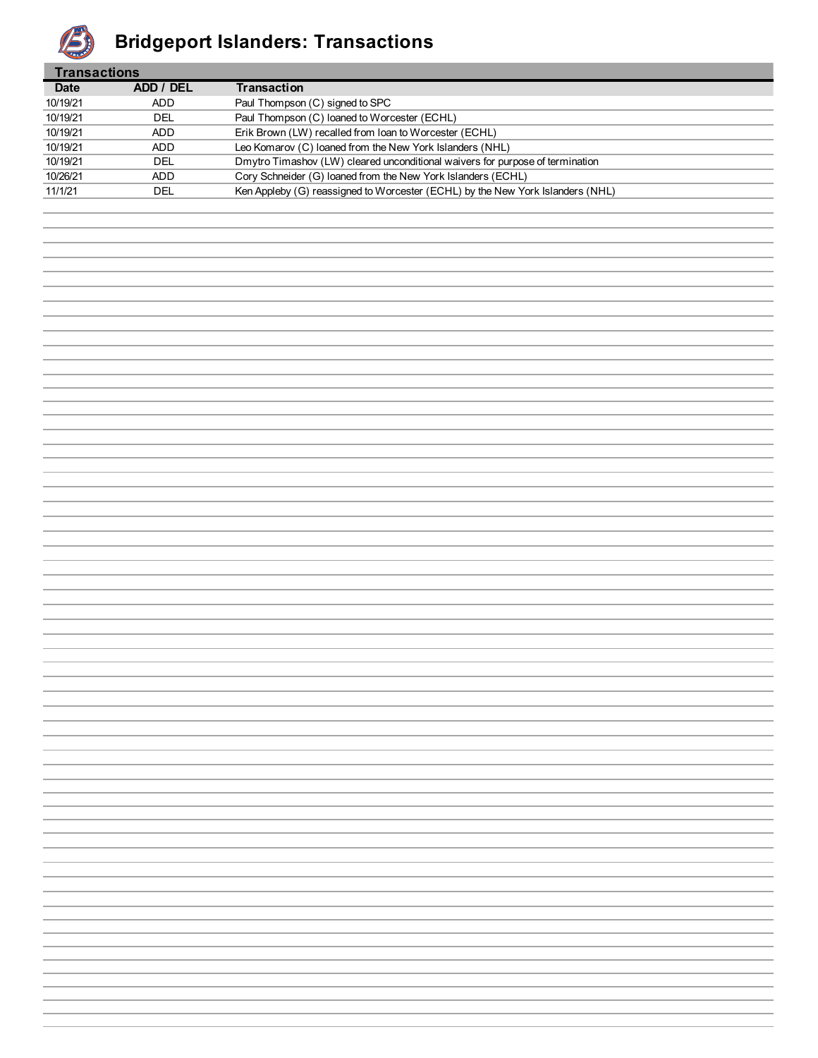

## **Bridgeport Islanders: Transactions**

| Transactions |            |                                                                                |  |  |  |  |  |  |
|--------------|------------|--------------------------------------------------------------------------------|--|--|--|--|--|--|
| <b>Date</b>  | ADD / DEL  | <b>Transaction</b>                                                             |  |  |  |  |  |  |
| 10/19/21     | ADD.       | Paul Thompson (C) signed to SPC                                                |  |  |  |  |  |  |
| 10/19/21     | DEL        | Paul Thompson (C) loaned to Worcester (ECHL)                                   |  |  |  |  |  |  |
| 10/19/21     | ADD.       | Erik Brown (LW) recalled from Ioan to Worcester (ECHL)                         |  |  |  |  |  |  |
| 10/19/21     | <b>ADD</b> | Leo Komarov (C) loaned from the New York Islanders (NHL)                       |  |  |  |  |  |  |
| 10/19/21     | DEL        | Dmytro Timashov (LW) cleared unconditional waivers for purpose of termination  |  |  |  |  |  |  |
| 10/26/21     | <b>ADD</b> | Cory Schneider (G) loaned from the New York Islanders (ECHL)                   |  |  |  |  |  |  |
| 11/1/21      | DEL        | Ken Appleby (G) reassigned to Worcester (ECHL) by the New York Islanders (NHL) |  |  |  |  |  |  |
|              |            |                                                                                |  |  |  |  |  |  |